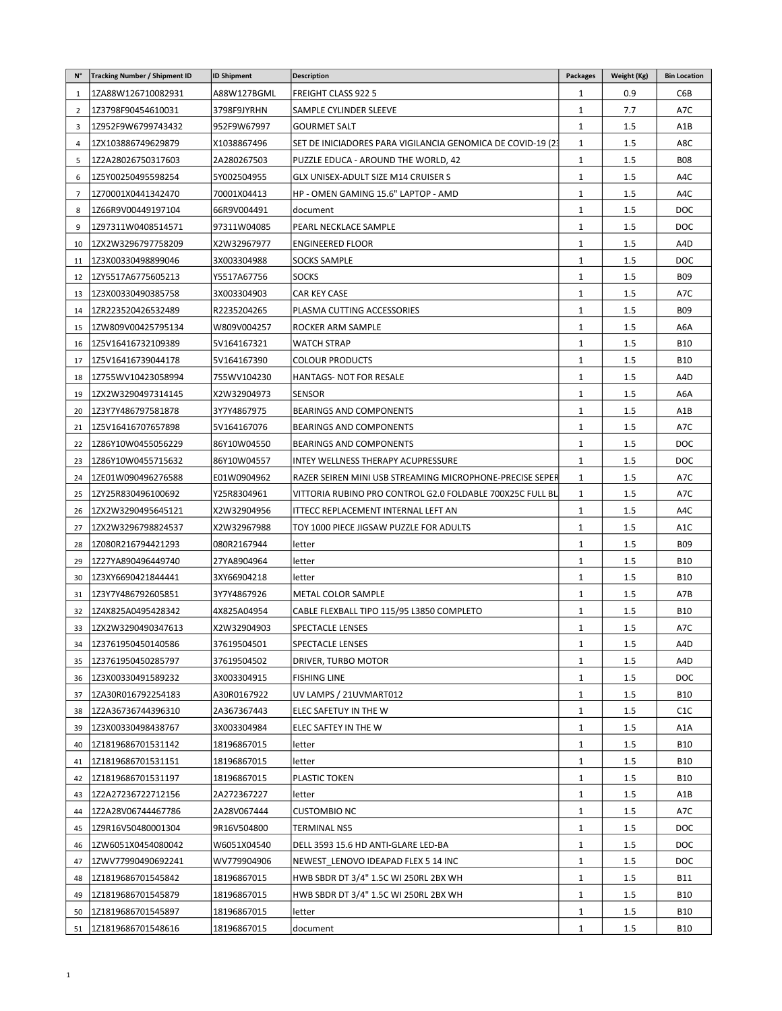| $N^{\circ}$    | <b>Tracking Number / Shipment ID</b> | <b>ID Shipment</b> | <b>Description</b>                                          | <b>Packages</b> | Weight (Kg) | <b>Bin Location</b> |
|----------------|--------------------------------------|--------------------|-------------------------------------------------------------|-----------------|-------------|---------------------|
| $\mathbf{1}$   | 1ZA88W126710082931                   | A88W127BGML        | <b>FREIGHT CLASS 922 5</b>                                  | 1               | 0.9         | C6B                 |
| $\overline{2}$ | 1Z3798F90454610031                   | 3798F9JYRHN        | SAMPLE CYLINDER SLEEVE                                      | 1               | 7.7         | A7C                 |
| 3              | 1Z952F9W6799743432                   | 952F9W67997        | <b>GOURMET SALT</b>                                         | 1               | 1.5         | A1B                 |
| $\overline{4}$ | 1ZX103886749629879                   | X1038867496        | SET DE INICIADORES PARA VIGILANCIA GENOMICA DE COVID-19 (23 | 1               | 1.5         | A8C                 |
| 5              | 1Z2A28026750317603                   | 2A280267503        | PUZZLE EDUCA - AROUND THE WORLD, 42                         | $\mathbf{1}$    | 1.5         | <b>B08</b>          |
| 6              | 1Z5Y00250495598254                   | 5Y002504955        | GLX UNISEX-ADULT SIZE M14 CRUISER S                         | 1               | 1.5         | A4C                 |
| 7              | 1Z70001X0441342470                   | 70001X04413        | HP - OMEN GAMING 15.6" LAPTOP - AMD                         | 1               | 1.5         | A4C                 |
| 8              | 1Z66R9V00449197104                   | 66R9V004491        | document                                                    | $\mathbf{1}$    | 1.5         | DOC                 |
| 9              | 1Z97311W0408514571                   | 97311W04085        | PEARL NECKLACE SAMPLE                                       | $\mathbf{1}$    | 1.5         | <b>DOC</b>          |
| 10             | 1ZX2W3296797758209                   | X2W32967977        | <b>ENGINEERED FLOOR</b>                                     | 1               | 1.5         | A4D                 |
| 11             | 1Z3X00330498899046                   | 3X003304988        | <b>SOCKS SAMPLE</b>                                         | $\mathbf{1}$    | $1.5\,$     | <b>DOC</b>          |
| 12             | 1ZY5517A6775605213                   | Y5517A67756        | <b>SOCKS</b>                                                | 1               | 1.5         | <b>B09</b>          |
| 13             | 1Z3X00330490385758                   | 3X003304903        | <b>CAR KEY CASE</b>                                         | 1               | 1.5         | A7C                 |
| 14             | 1ZR223520426532489                   | R2235204265        | PLASMA CUTTING ACCESSORIES                                  | 1               | $1.5\,$     | <b>BO9</b>          |
| 15             | 1ZW809V00425795134                   | W809V004257        | ROCKER ARM SAMPLE                                           | $\mathbf{1}$    | 1.5         | A6A                 |
| 16             | 1Z5V16416732109389                   | 5V164167321        | <b>WATCH STRAP</b>                                          | 1               | 1.5         | <b>B10</b>          |
| 17             | IZ5V16416739044178                   | 5V164167390        | <b>COLOUR PRODUCTS</b>                                      | 1               | 1.5         | <b>B10</b>          |
| 18             | 1Z755WV10423058994                   | 755WV104230        | HANTAGS- NOT FOR RESALE                                     | 1               | 1.5         | A4D                 |
| 19             | 1ZX2W3290497314145                   | X2W32904973        | <b>SENSOR</b>                                               | $\mathbf{1}$    | 1.5         | A6A                 |
| 20             | 1Z3Y7Y486797581878                   | 3Y7Y4867975        | <b>BEARINGS AND COMPONENTS</b>                              | $\mathbf{1}$    | 1.5         | A1B                 |
| 21             | I25V16416707657898                   | 5V164167076        | <b>BEARINGS AND COMPONENTS</b>                              | $\mathbf{1}$    | 1.5         | A7C                 |
| 22             | 1Z86Y10W0455056229                   | 86Y10W04550        | <b>BEARINGS AND COMPONENTS</b>                              | $\mathbf{1}$    | 1.5         | DOC                 |
| 23             | 1Z86Y10W0455715632                   | 86Y10W04557        | INTEY WELLNESS THERAPY ACUPRESSURE                          | 1               | 1.5         | DOC                 |
| 24             | 1ZE01W090496276588                   | E01W0904962        | RAZER SEIREN MINI USB STREAMING MICROPHONE-PRECISE SEPER    | 1               | 1.5         | A7C                 |
| 25             | 1ZY25R830496100692                   | Y25R8304961        | VITTORIA RUBINO PRO CONTROL G2.0 FOLDABLE 700X25C FULL BL   | 1               | $1.5\,$     | A7C                 |
| 26             | 1ZX2W3290495645121                   | X2W32904956        | ITTECC REPLACEMENT INTERNAL LEFT AN                         | 1               | 1.5         | A4C                 |
| 27             | 1ZX2W3296798824537                   | X2W32967988        | TOY 1000 PIECE JIGSAW PUZZLE FOR ADULTS                     | 1               | 1.5         | A <sub>1</sub> C    |
| 28             | 1Z080R216794421293                   | 080R2167944        | letter                                                      | 1               | 1.5         | <b>B09</b>          |
| 29             | 1Z27YA890496449740                   | 27YA8904964        | letter                                                      | 1               | 1.5         | <b>B10</b>          |
| 30             | 1Z3XY6690421844441                   | 3XY66904218        | letter                                                      | $\mathbf{1}$    | 1.5         | <b>B10</b>          |
| 31             | 1Z3Y7Y486792605851                   | 3Y7Y4867926        | <b>METAL COLOR SAMPLE</b>                                   | $\mathbf{1}$    | 1.5         | A7B                 |
| 32             | 1Z4X825A0495428342                   | 4X825A04954        | CABLE FLEXBALL TIPO 115/95 L3850 COMPLETO                   | 1               | 1.5         | <b>B10</b>          |
| 33             | 1ZX2W3290490347613                   | X2W32904903        | <b>SPECTACLE LENSES</b>                                     | $\mathbf{1}$    | 1.5         | A7C                 |
| 34             | 1Z3761950450140586                   | 37619504501        | SPECTACLE LENSES                                            | $\mathbf{1}$    | 1.5         | A4D                 |
| 35             | 1Z3761950450285797                   | 37619504502        | DRIVER, TURBO MOTOR                                         | $\mathbf{1}$    | 1.5         | A4D                 |
| 36             | 1Z3X00330491589232                   | 3X003304915        | <b>FISHING LINE</b>                                         | $\mathbf{1}$    | $1.5\,$     | <b>DOC</b>          |
| 37             | 1ZA30R016792254183                   | A30R0167922        | UV LAMPS / 21UVMART012                                      | $\mathbf{1}$    | 1.5         | <b>B10</b>          |
| 38             | 1Z2A36736744396310                   | 2A367367443        | ELEC SAFETUY IN THE W                                       | $\mathbf{1}$    | $1.5\,$     | C <sub>1</sub> C    |
| 39             | 1Z3X00330498438767                   | 3X003304984        | ELEC SAFTEY IN THE W                                        | 1               | $1.5\,$     | A1A                 |
| 40             | 1Z1819686701531142                   | 18196867015        | letter                                                      | $\mathbf{1}$    | $1.5\,$     | <b>B10</b>          |
| 41             | 1Z1819686701531151                   | 18196867015        | letter                                                      | $\mathbf{1}$    | 1.5         | <b>B10</b>          |
| 42             | 1Z1819686701531197                   | 18196867015        | <b>PLASTIC TOKEN</b>                                        | $\mathbf{1}$    | 1.5         | <b>B10</b>          |
| 43             | 1Z2A27236722712156                   | 2A272367227        | letter                                                      | $\mathbf{1}$    | $1.5\,$     | A1B                 |
| 44             | 1Z2A28V06744467786                   | 2A28V067444        | <b>CUSTOMBIO NC</b>                                         | $\mathbf{1}$    | $1.5\,$     | A7C                 |
| 45             | 1Z9R16V50480001304                   | 9R16V504800        | TERMINAL NS5                                                | 1               | $1.5\,$     | <b>DOC</b>          |
| 46             | 1ZW6051X0454080042                   | W6051X04540        | DELL 3593 15.6 HD ANTI-GLARE LED-BA                         | $\mathbf{1}$    | 1.5         | <b>DOC</b>          |
| 47             | 1ZWV77990490692241                   | WV779904906        | NEWEST LENOVO IDEAPAD FLEX 5 14 INC                         | $\mathbf{1}$    | $1.5\,$     | <b>DOC</b>          |
| 48             | 1Z1819686701545842                   | 18196867015        | HWB SBDR DT 3/4" 1.5C WI 250RL 2BX WH                       | 1               | $1.5\,$     | <b>B11</b>          |
|                | 1Z1819686701545879                   | 18196867015        | HWB SBDR DT 3/4" 1.5C WI 250RL 2BX WH                       | $\mathbf{1}$    | $1.5\,$     | <b>B10</b>          |
| 49             |                                      |                    |                                                             |                 |             | <b>B10</b>          |
| 50             | 1Z1819686701545897                   | 18196867015        | letter                                                      | 1               | $1.5\,$     |                     |
| 51             | 1Z1819686701548616                   | 18196867015        | document                                                    | $\mathbf{1}$    | 1.5         | <b>B10</b>          |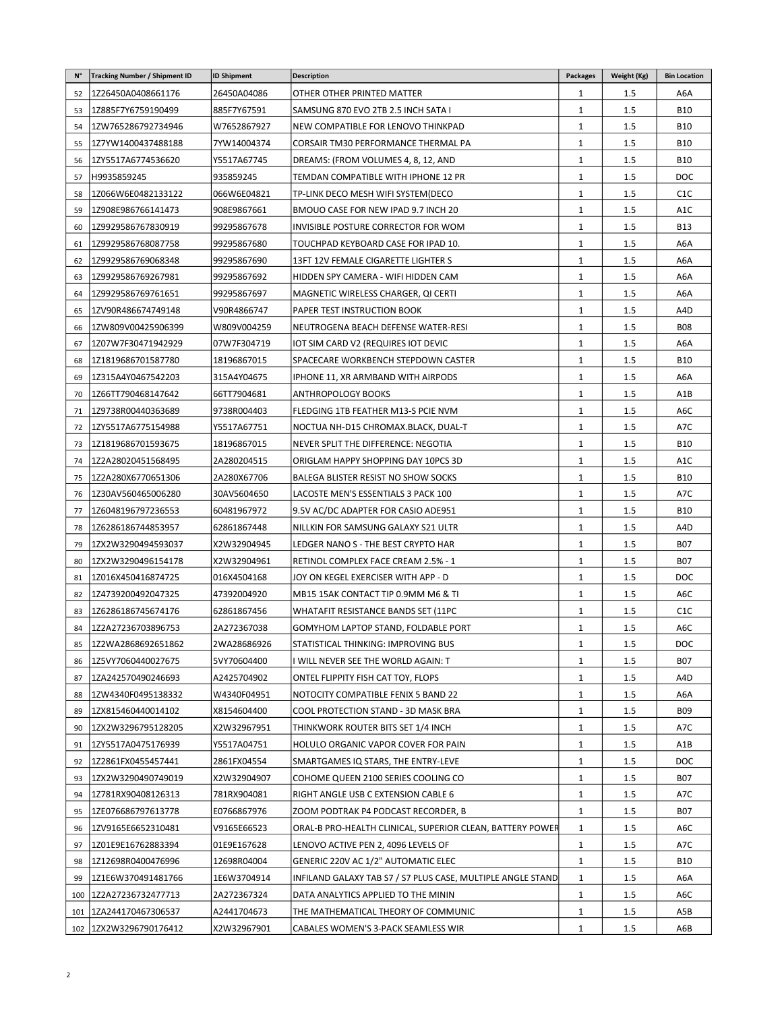| N° | <b>Tracking Number / Shipment ID</b>     | <b>ID Shipment</b>         | <b>Description</b>                                                         | <b>Packages</b>              | Weight (Kg) | <b>Bin Location</b> |
|----|------------------------------------------|----------------------------|----------------------------------------------------------------------------|------------------------------|-------------|---------------------|
| 52 | 1Z26450A0408661176                       | 26450A04086                | OTHER OTHER PRINTED MATTER                                                 | 1                            | 1.5         | A6A                 |
| 53 | 1Z885F7Y6759190499                       | 885F7Y67591                | SAMSUNG 870 EVO 2TB 2.5 INCH SATA I                                        | $\mathbf{1}$                 | 1.5         | <b>B10</b>          |
| 54 | 1ZW765286792734946                       | W7652867927                | NEW COMPATIBLE FOR LENOVO THINKPAD                                         | $\mathbf{1}$                 | 1.5         | <b>B10</b>          |
| 55 | 1Z7YW1400437488188                       | 7YW14004374                | CORSAIR TM30 PERFORMANCE THERMAL PA                                        | $\mathbf{1}$                 | 1.5         | <b>B10</b>          |
| 56 | 1ZY5517A6774536620                       | Y5517A67745                | DREAMS: (FROM VOLUMES 4, 8, 12, AND                                        | $\mathbf{1}$                 | 1.5         | <b>B10</b>          |
| 57 | H9935859245                              | 935859245                  | TEMDAN COMPATIBLE WITH IPHONE 12 PR                                        | 1                            | 1.5         | <b>DOC</b>          |
| 58 | 1Z066W6E0482133122                       | 066W6E04821                | TP-LINK DECO MESH WIFI SYSTEM(DECO                                         | $\mathbf{1}$                 | 1.5         | C <sub>1</sub> C    |
| 59 | 1Z908E986766141473                       | 908E9867661                | BMOUO CASE FOR NEW IPAD 9.7 INCH 20                                        | $\mathbf{1}$                 | 1.5         | A1C                 |
| 60 | 1Z9929586767830919                       | 99295867678                | INVISIBLE POSTURE CORRECTOR FOR WOM                                        | $\mathbf{1}$                 | 1.5         | <b>B13</b>          |
| 61 | 1Z9929586768087758                       | 99295867680                | TOUCHPAD KEYBOARD CASE FOR IPAD 10.                                        | $\mathbf{1}$                 | 1.5         | A6A                 |
| 62 | 1Z9929586769068348                       | 99295867690                | 13FT 12V FEMALE CIGARETTE LIGHTER S                                        | 1                            | 1.5         | A6A                 |
| 63 | 1Z9929586769267981                       | 99295867692                | HIDDEN SPY CAMERA - WIFI HIDDEN CAM                                        | $\mathbf{1}$                 | 1.5         | A6A                 |
| 64 | 1Z9929586769761651                       | 99295867697                | MAGNETIC WIRELESS CHARGER, QI CERTI                                        | $\mathbf{1}$                 | 1.5         | A6A                 |
| 65 | 1ZV90R486674749148                       | V90R4866747                | PAPER TEST INSTRUCTION BOOK                                                | 1                            | 1.5         | A4D                 |
| 66 | 1ZW809V00425906399                       | W809V004259                | NEUTROGENA BEACH DEFENSE WATER-RESI                                        | $\mathbf{1}$                 | 1.5         | <b>B08</b>          |
| 67 | 1Z07W7F30471942929                       | 07W7F304719                | IOT SIM CARD V2 (REQUIRES IOT DEVIC                                        | $\mathbf{1}$                 | 1.5         | A6A                 |
| 68 | 1Z1819686701587780                       | 18196867015                | SPACECARE WORKBENCH STEPDOWN CASTER                                        | $\mathbf{1}$                 | 1.5         | <b>B10</b>          |
| 69 | 1Z315A4Y0467542203                       | 315A4Y04675                | IPHONE 11, XR ARMBAND WITH AIRPODS                                         | $\mathbf{1}$                 | 1.5         | A6A                 |
| 70 | 1Z66TT790468147642                       | 66TT7904681                | ANTHROPOLOGY BOOKS                                                         | $\mathbf{1}$                 | 1.5         | A1B                 |
| 71 | 1Z9738R00440363689                       | 9738R004403                | FLEDGING 1TB FEATHER M13-S PCIE NVM                                        | $\mathbf{1}$                 | 1.5         | A6C                 |
| 72 | 1ZY5517A6775154988                       | Y5517A67751                | NOCTUA NH-D15 CHROMAX.BLACK, DUAL-T                                        | $\mathbf{1}$                 | 1.5         | A7C                 |
| 73 | 1Z1819686701593675                       | 18196867015                | NEVER SPLIT THE DIFFERENCE: NEGOTIA                                        | $\mathbf{1}$                 | 1.5         | <b>B10</b>          |
| 74 | 1Z2A28020451568495                       | 2A280204515                | ORIGLAM HAPPY SHOPPING DAY 10PCS 3D                                        | 1                            | 1.5         | A <sub>1</sub> C    |
| 75 | 1Z2A280X6770651306                       | 2A280X67706                | BALEGA BLISTER RESIST NO SHOW SOCKS                                        | $\mathbf{1}$                 | 1.5         | <b>B10</b>          |
| 76 | 1Z30AV560465006280                       | 30AV5604650                | LACOSTE MEN'S ESSENTIALS 3 PACK 100                                        | $\mathbf{1}$                 | 1.5         | A7C                 |
| 77 | 1Z6048196797236553                       | 60481967972                | 9.5V AC/DC ADAPTER FOR CASIO ADE951                                        | $\mathbf{1}$                 | 1.5         | <b>B10</b>          |
|    |                                          | 62861867448                |                                                                            | 1                            | 1.5         | A4D                 |
| 78 | 1Z6286186744853957                       |                            | NILLKIN FOR SAMSUNG GALAXY S21 ULTR                                        |                              | 1.5         | <b>B07</b>          |
| 79 | 1ZX2W3290494593037                       | X2W32904945<br>X2W32904961 | LEDGER NANO S - THE BEST CRYPTO HAR                                        | $\mathbf{1}$                 | 1.5         | <b>B07</b>          |
| 80 | 1ZX2W3290496154178<br>1Z016X450416874725 | 016X4504168                | RETINOL COMPLEX FACE CREAM 2.5% - 1<br>JOY ON KEGEL EXERCISER WITH APP - D | $\mathbf{1}$<br>$\mathbf{1}$ | 1.5         | DOC                 |
| 81 | 1Z4739200492047325                       | 47392004920                |                                                                            | $\mathbf{1}$                 | 1.5         | A6C                 |
| 82 | 1Z6286186745674176                       |                            | MB15 15AK CONTACT TIP 0.9MM M6 & TI                                        | $\mathbf{1}$                 |             | C <sub>1</sub> C    |
| 83 |                                          | 62861867456                | WHATAFIT RESISTANCE BANDS SET (11PC                                        |                              | 1.5         |                     |
| 84 | 1Z2A27236703896753                       | 2A272367038                | GOMYHOM LAPTOP STAND, FOLDABLE PORT                                        | $\mathbf{1}$                 | 1.5         | A6C                 |
| 85 | 1Z2WA2868692651862                       | 2WA28686926                | STATISTICAL THINKING: IMPROVING BUS                                        | $\mathbf{1}$                 | 1.5         | DOC                 |
| 86 | 1Z5VY7060440027675                       | 5VY70604400                | I WILL NEVER SEE THE WORLD AGAIN: T                                        | $\mathbf{1}$                 | 1.5         | B07                 |
| 87 | 1ZA242570490246693                       | A2425704902                | ONTEL FLIPPITY FISH CAT TOY, FLOPS                                         | $\mathbf{1}$                 | 1.5         | A4D                 |
| 88 | 1ZW4340F0495138332                       | W4340F04951                | NOTOCITY COMPATIBLE FENIX 5 BAND 22                                        | $\mathbf{1}$                 | 1.5         | A6A                 |
| 89 | 1ZX815460440014102                       | X8154604400                | COOL PROTECTION STAND - 3D MASK BRA                                        | $\mathbf{1}$                 | 1.5         | <b>B09</b>          |
| 90 | 1ZX2W3296795128205                       | X2W32967951                | THINKWORK ROUTER BITS SET 1/4 INCH                                         | 1                            | 1.5         | A7C                 |
| 91 | 1ZY5517A0475176939                       | Y5517A04751                | HOLULO ORGANIC VAPOR COVER FOR PAIN                                        | $\mathbf{1}$                 | 1.5         | A1B                 |
| 92 | 1Z2861FX0455457441                       | 2861FX04554                | SMARTGAMES IQ STARS, THE ENTRY-LEVE                                        | $\mathbf{1}$                 | 1.5         | <b>DOC</b>          |
| 93 | 1ZX2W3290490749019                       | X2W32904907                | COHOME QUEEN 2100 SERIES COOLING CO                                        | $\mathbf{1}$                 | 1.5         | <b>B07</b>          |
| 94 | 1Z781RX90408126313                       | 781RX904081                | RIGHT ANGLE USB C EXTENSION CABLE 6                                        | $\mathbf{1}$                 | 1.5         | A7C                 |
| 95 | 1ZE076686797613778                       | E0766867976                | ZOOM PODTRAK P4 PODCAST RECORDER, B                                        | $\mathbf{1}$                 | 1.5         | <b>B07</b>          |
| 96 | 1ZV9165E6652310481                       | V9165E66523                | ORAL-B PRO-HEALTH CLINICAL, SUPERIOR CLEAN, BATTERY POWER                  | $\mathbf{1}$                 | 1.5         | A6C                 |
| 97 | 1Z01E9E16762883394                       | 01E9E167628                | LENOVO ACTIVE PEN 2, 4096 LEVELS OF                                        | $\mathbf{1}$                 | 1.5         | A7C                 |
| 98 | 1Z12698R0400476996                       | 12698R04004                | GENERIC 220V AC 1/2" AUTOMATIC ELEC                                        | $\mathbf{1}$                 | 1.5         | <b>B10</b>          |
| 99 | 1Z1E6W370491481766                       | 1E6W3704914                | INFILAND GALAXY TAB S7 / S7 PLUS CASE, MULTIPLE ANGLE STAND                | $\mathbf{1}$                 | 1.5         | A6A                 |
|    | 100   1Z2A27236732477713                 | 2A272367324                | DATA ANALYTICS APPLIED TO THE MININ                                        | $\mathbf{1}$                 | 1.5         | A6C                 |
|    | 101 2A244170467306537                    | A2441704673                | THE MATHEMATICAL THEORY OF COMMUNIC                                        | 1                            | $1.5\,$     | A5B                 |
|    | 102 2X2W3296790176412                    | X2W32967901                | CABALES WOMEN'S 3-PACK SEAMLESS WIR                                        | $\mathbf{1}$                 | 1.5         | A6B                 |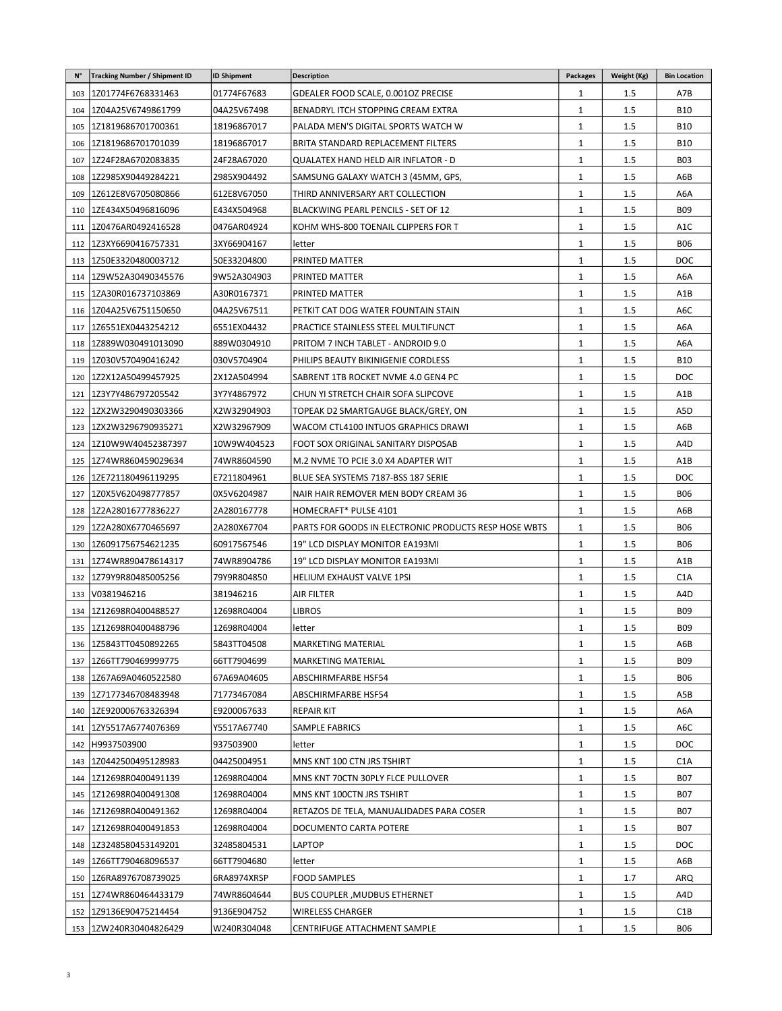| $N^{\circ}$ | <b>Tracking Number / Shipment ID</b> | <b>ID Shipment</b> | <b>Description</b>                                    | <b>Packages</b> | Weight (Kg) | <b>Bin Location</b> |
|-------------|--------------------------------------|--------------------|-------------------------------------------------------|-----------------|-------------|---------------------|
| 103         | 1Z01774F6768331463                   | 01774F67683        | GDEALER FOOD SCALE, 0.001OZ PRECISE                   | 1               | 1.5         | A7B                 |
| 104         | 1Z04A25V6749861799                   | 04A25V67498        | BENADRYL ITCH STOPPING CREAM EXTRA                    | 1               | 1.5         | <b>B10</b>          |
| 105         | 1Z1819686701700361                   | 18196867017        | PALADA MEN'S DIGITAL SPORTS WATCH W                   | 1               | 1.5         | <b>B10</b>          |
| 106         | 1Z1819686701701039                   | 18196867017        | BRITA STANDARD REPLACEMENT FILTERS                    | 1               | 1.5         | <b>B10</b>          |
| 107         | 1Z24F28A6702083835                   | 24F28A67020        | QUALATEX HAND HELD AIR INFLATOR - D                   | 1               | 1.5         | <b>B03</b>          |
| 108         | 1Z2985X90449284221                   | 2985X904492        | SAMSUNG GALAXY WATCH 3 (45MM, GPS,                    | 1               | 1.5         | A6B                 |
| 109         | 1Z612E8V6705080866                   | 612E8V67050        | THIRD ANNIVERSARY ART COLLECTION                      | 1               | 1.5         | A6A                 |
| 110         | 1ZE434X50496816096                   | E434X504968        | BLACKWING PEARL PENCILS - SET OF 12                   | 1               | 1.5         | <b>B09</b>          |
| 111         | 1Z0476AR0492416528                   | 0476AR04924        | KOHM WHS-800 TOENAIL CLIPPERS FOR T                   | 1               | 1.5         | A1C                 |
| 112         | 1Z3XY6690416757331                   | 3XY66904167        | letter                                                | 1               | 1.5         | <b>B06</b>          |
| 113         | 1Z50E3320480003712                   | 50E33204800        | PRINTED MATTER                                        | 1               | 1.5         | DOC                 |
| 114         | 1Z9W52A30490345576                   | 9W52A304903        | PRINTED MATTER                                        | 1               | 1.5         | A6A                 |
| 115         | 1ZA30R016737103869                   | A30R0167371        | PRINTED MATTER                                        | 1               | 1.5         | A1B                 |
| 116         | 1Z04A25V6751150650                   | 04A25V67511        | PETKIT CAT DOG WATER FOUNTAIN STAIN                   | 1               | 1.5         | A6C                 |
| 117         | 1Z6551EX0443254212                   | 6551EX04432        | PRACTICE STAINLESS STEEL MULTIFUNCT                   | 1               | 1.5         | A6A                 |
| 118         | 1Z889W030491013090                   | 889W0304910        | PRITOM 7 INCH TABLET - ANDROID 9.0                    | 1               | 1.5         | A6A                 |
| 119         | 1Z030V570490416242                   | 030V5704904        | PHILIPS BEAUTY BIKINIGENIE CORDLESS                   | 1               | 1.5         | <b>B10</b>          |
| 120         | 1Z2X12A50499457925                   | 2X12A504994        | SABRENT 1TB ROCKET NVME 4.0 GEN4 PC                   | 1               | 1.5         | DOC                 |
| 121         | 1Z3Y7Y486797205542                   | 3Y7Y4867972        | CHUN YI STRETCH CHAIR SOFA SLIPCOVE                   | 1               | 1.5         | A1B                 |
| 122         | 1ZX2W3290490303366                   | X2W32904903        | TOPEAK D2 SMARTGAUGE BLACK/GREY, ON                   | 1               | 1.5         | A5D                 |
| 123         | 1ZX2W3296790935271                   | X2W32967909        | WACOM CTL4100 INTUOS GRAPHICS DRAWI                   | 1               | 1.5         | A6B                 |
| 124         | 1Z10W9W40452387397                   | 10W9W404523        | FOOT SOX ORIGINAL SANITARY DISPOSAB                   | $\mathbf{1}$    | 1.5         | A4D                 |
| 125         | 1Z74WR860459029634                   | 74WR8604590        | M.2 NVME TO PCIE 3.0 X4 ADAPTER WIT                   | 1               | 1.5         | A1B                 |
| 126         | I2E721180496119295                   | E7211804961        | BLUE SEA SYSTEMS 7187-BSS 187 SERIE                   | 1               | 1.5         | DOC                 |
| 127         | 1Z0X5V620498777857                   | 0X5V6204987        | NAIR HAIR REMOVER MEN BODY CREAM 36                   | 1               | 1.5         | <b>B06</b>          |
| 128         | 1Z2A28016777836227                   | 2A280167778        | HOMECRAFT* PULSE 4101                                 | 1               | 1.5         | A6B                 |
| 129         | 1Z2A280X6770465697                   | 2A280X67704        | PARTS FOR GOODS IN ELECTRONIC PRODUCTS RESP HOSE WBTS | $\mathbf{1}$    | 1.5         | <b>B06</b>          |
| 130         | 1Z6091756754621235                   | 60917567546        | 19" LCD DISPLAY MONITOR EA193MI                       | 1               | 1.5         | <b>B06</b>          |
| 131         | 1Z74WR890478614317                   | 74WR8904786        | 19" LCD DISPLAY MONITOR EA193MI                       | 1               | 1.5         | A1B                 |
| 132         | 1Z79Y9R80485005256                   | 79Y9R804850        | <b>HELIUM EXHAUST VALVE 1PSI</b>                      | 1               | 1.5         | C <sub>1</sub> A    |
| 133         | V0381946216                          | 381946216          | AIR FILTER                                            | 1               | 1.5         | A4D                 |
| 134         | 1Z12698R0400488527                   | 12698R04004        | LIBROS                                                | 1               | 1.5         | <b>B09</b>          |
| 135         | 1Z12698R0400488796                   | 12698R04004        | letter                                                | 1               | 1.5         | <b>B09</b>          |
|             | 136   1Z5843TT0450892265             | 5843TT04508        | <b>MARKETING MATERIAL</b>                             | $\mathbf{1}$    | 1.5         | A6B                 |
| 137         | 1Z66TT790469999775                   | 66TT7904699        | <b>MARKETING MATERIAL</b>                             | 1               | $1.5\,$     | <b>B09</b>          |
| 138         | 1Z67A69A0460522580                   | 67A69A04605        | <b>ABSCHIRMFARBE HSF54</b>                            | 1               | $1.5\,$     | <b>B06</b>          |
| 139         | 1Z7177346708483948                   | 71773467084        | <b>ABSCHIRMFARBE HSF54</b>                            | 1               | 1.5         | A5B                 |
| 140         | 1ZE920006763326394                   | E9200067633        | <b>REPAIR KIT</b>                                     | 1               | $1.5\,$     | A6A                 |
| 141         | 1ZY5517A6774076369                   | Y5517A67740        | SAMPLE FABRICS                                        | 1               | 1.5         | A6C                 |
| 142         | H9937503900                          | 937503900          | letter                                                | 1               | $1.5\,$     | DOC                 |
| 143         | 1Z0442500495128983                   | 04425004951        | MNS KNT 100 CTN JRS TSHIRT                            | 1               | 1.5         | C <sub>1</sub> A    |
| 144         | 1Z12698R0400491139                   | 12698R04004        | MNS KNT 70CTN 30PLY FLCE PULLOVER                     | 1               | 1.5         | <b>B07</b>          |
| 145         | 1Z12698R0400491308                   | 12698R04004        | MNS KNT 100CTN JRS TSHIRT                             | 1               | $1.5\,$     | B07                 |
| 146         | 1Z12698R0400491362                   | 12698R04004        | RETAZOS DE TELA, MANUALIDADES PARA COSER              | 1               | $1.5\,$     | <b>B07</b>          |
| 147         | 1Z12698R0400491853                   | 12698R04004        | DOCUMENTO CARTA POTERE                                | 1               | $1.5\,$     | <b>B07</b>          |
| 148         | 1Z3248580453149201                   | 32485804531        | LAPTOP                                                | 1               | 1.5         | <b>DOC</b>          |
| 149         | 1Z66TT790468096537                   | 66TT7904680        | letter                                                | 1               | $1.5\,$     | A6B                 |
| 150         | 1Z6RA8976708739025                   | 6RA8974XRSP        | <b>FOOD SAMPLES</b>                                   | 1               | 1.7         | <b>ARQ</b>          |
| 151         | 1Z74WR860464433179                   | 74WR8604644        | <b>BUS COUPLER, MUDBUS ETHERNET</b>                   | 1               | 1.5         | A4D                 |
| 152         | 1Z9136E90475214454                   | 9136E904752        | WIRELESS CHARGER                                      | 1               | 1.5         | C1B                 |
| 153         | 1ZW240R30404826429                   | W240R304048        | CENTRIFUGE ATTACHMENT SAMPLE                          | 1               | 1.5         | <b>B06</b>          |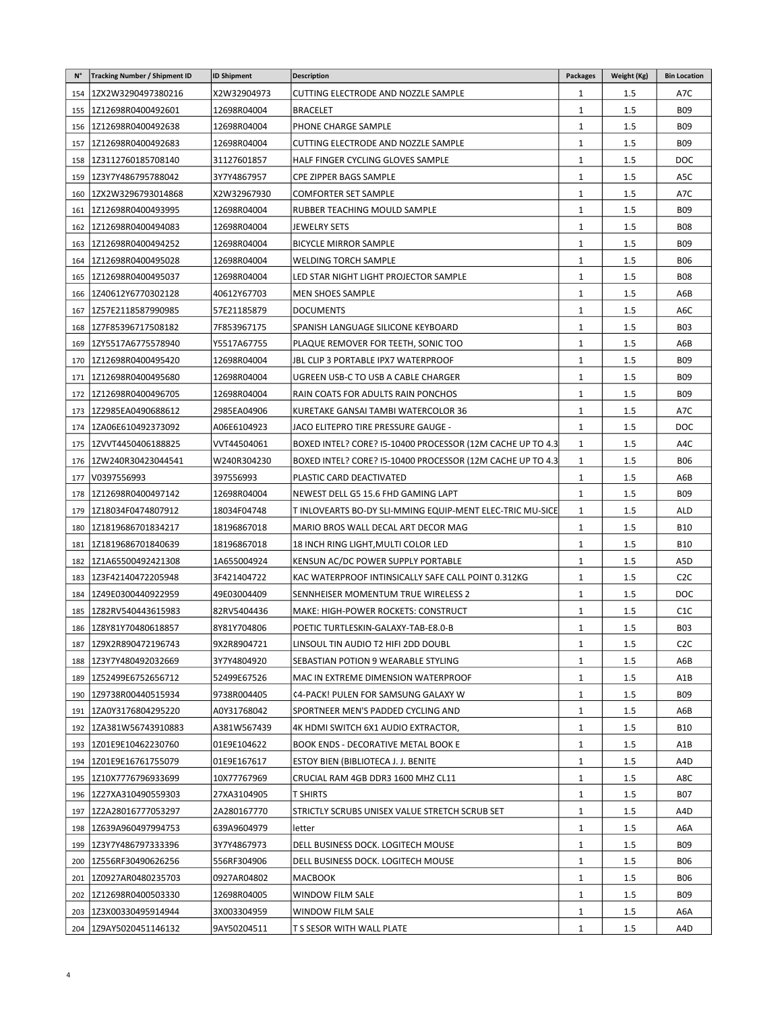| N°  | <b>Tracking Number / Shipment ID</b> | <b>ID Shipment</b> | <b>Description</b>                                          | <b>Packages</b> | Weight (Kg) | <b>Bin Location</b> |
|-----|--------------------------------------|--------------------|-------------------------------------------------------------|-----------------|-------------|---------------------|
|     | 154 2X2W3290497380216                | X2W32904973        | CUTTING ELECTRODE AND NOZZLE SAMPLE                         | 1               | $1.5\,$     | A7C                 |
| 155 | 1Z12698R0400492601                   | 12698R04004        | <b>BRACELET</b>                                             | 1               | $1.5\,$     | <b>B09</b>          |
|     | 156   1Z12698R0400492638             | 12698R04004        | PHONE CHARGE SAMPLE                                         | 1               | 1.5         | <b>B09</b>          |
|     | 157   1Z12698R0400492683             | 12698R04004        | CUTTING ELECTRODE AND NOZZLE SAMPLE                         | $\mathbf{1}$    | 1.5         | <b>B09</b>          |
|     | 158   1Z3112760185708140             | 31127601857        | HALF FINGER CYCLING GLOVES SAMPLE                           | 1               | $1.5\,$     | <b>DOC</b>          |
|     | 159   1Z3Y7Y486795788042             | 3Y7Y4867957        | <b>CPE ZIPPER BAGS SAMPLE</b>                               | $\mathbf{1}$    | 1.5         | A5C                 |
| 160 | 1ZX2W3296793014868                   | X2W32967930        | <b>COMFORTER SET SAMPLE</b>                                 | $\mathbf{1}$    | 1.5         | A7C                 |
| 161 | 1Z12698R0400493995                   | 12698R04004        | RUBBER TEACHING MOULD SAMPLE                                | $\mathbf{1}$    | 1.5         | <b>B09</b>          |
| 162 | 1Z12698R0400494083                   | 12698R04004        | JEWELRY SETS                                                | $\mathbf{1}$    | 1.5         | <b>B08</b>          |
|     | 163   1Z12698R0400494252             | 12698R04004        | <b>BICYCLE MIRROR SAMPLE</b>                                | $\mathbf{1}$    | $1.5\,$     | <b>B09</b>          |
| 164 | 1Z12698R0400495028                   | 12698R04004        | WELDING TORCH SAMPLE                                        | $\mathbf{1}$    | 1.5         | <b>B06</b>          |
| 165 | 1Z12698R0400495037                   | 12698R04004        | LED STAR NIGHT LIGHT PROJECTOR SAMPLE                       | $\mathbf{1}$    | $1.5\,$     | <b>B08</b>          |
|     | 166   1Z40612Y6770302128             | 40612Y67703        | MEN SHOES SAMPLE                                            | 1               | $1.5\,$     | A6B                 |
| 167 | 1Z57E2118587990985                   | 57E21185879        | <b>DOCUMENTS</b>                                            | 1               | 1.5         | A6C                 |
|     | 168 2Z7F85396717508182               | 7F853967175        | SPANISH LANGUAGE SILICONE KEYBOARD                          | 1               | 1.5         | <b>B03</b>          |
|     | 169 2XY5517A6775578940               | Y5517A67755        | PLAQUE REMOVER FOR TEETH, SONIC TOO                         | 1               | 1.5         | A6B                 |
|     | 170   1Z12698R0400495420             | 12698R04004        | JBL CLIP 3 PORTABLE IPX7 WATERPROOF                         | $\mathbf{1}$    | 1.5         | <b>B09</b>          |
| 171 | 1Z12698R0400495680                   | 12698R04004        | UGREEN USB-C TO USB A CABLE CHARGER                         | $\mathbf{1}$    | 1.5         | <b>BO9</b>          |
| 172 | 1Z12698R0400496705                   | 12698R04004        | RAIN COATS FOR ADULTS RAIN PONCHOS                          | $\mathbf{1}$    | 1.5         | <b>B09</b>          |
|     | 173   1Z2985EA0490688612             | 2985EA04906        | KURETAKE GANSAI TAMBI WATERCOLOR 36                         | 1               | 1.5         | A7C                 |
|     | 174   1ZA06E610492373092             | A06E6104923        | JACO ELITEPRO TIRE PRESSURE GAUGE -                         | 1               | 1.5         | <b>DOC</b>          |
|     | 175   1ZVVT4450406188825             | VVT44504061        | BOXED INTEL? CORE? 15-10400 PROCESSOR (12M CACHE UP TO 4.3) | $\mathbf{1}$    | $1.5\,$     | A4C                 |
|     | 176   1ZW240R30423044541             | W240R304230        | BOXED INTEL? CORE? 15-10400 PROCESSOR (12M CACHE UP TO 4.3) | 1               | $1.5\,$     | <b>B06</b>          |
| 177 | V0397556993                          | 397556993          | PLASTIC CARD DEACTIVATED                                    | 1               | $1.5\,$     | A6B                 |
| 178 | 1Z12698R0400497142                   | 12698R04004        | NEWEST DELL G5 15.6 FHD GAMING LAPT                         | $\mathbf{1}$    | 1.5         | <b>B09</b>          |
|     | 179   1Z18034F0474807912             | 18034F04748        | T INLOVEARTS BO-DY SLI-MMING EQUIP-MENT ELEC-TRIC MU-SICE   | 1               | 1.5         | <b>ALD</b>          |
|     | 180   121819686701834217             | 18196867018        | MARIO BROS WALL DECAL ART DECOR MAG                         | 1               | $1.5\,$     | <b>B10</b>          |
|     | 181   1Z1819686701840639             | 18196867018        | 18 INCH RING LIGHT, MULTI COLOR LED                         | $\mathbf{1}$    | 1.5         | <b>B10</b>          |
| 182 | 1Z1A65500492421308                   | 1A655004924        | KENSUN AC/DC POWER SUPPLY PORTABLE                          | 1               | 1.5         | A5D                 |
| 183 | 1Z3F42140472205948                   | 3F421404722        | KAC WATERPROOF INTINSICALLY SAFE CALL POINT 0.312KG         | 1               | $1.5\,$     | C <sub>2</sub> C    |
|     | 184 2Z49E0300440922959               | 49E03004409        | SENNHEISER MOMENTUM TRUE WIRELESS 2                         | 1               | 1.5         | <b>DOC</b>          |
|     | 185   1Z82RV540443615983             | 82RV5404436        | MAKE: HIGH-POWER ROCKETS: CONSTRUCT                         | $\mathbf{1}$    | 1.5         | C <sub>1</sub> C    |
|     | 186 1Z8Y81Y70480618857               | 8Y81Y704806        | POETIC TURTLESKIN-GALAXY-TAB-E8.0-B                         | $\mathbf{1}$    | 1.5         | <b>B03</b>          |
|     | 187   1Z9X2R890472196743             | 9X2R8904721        | LINSOUL TIN AUDIO T2 HIFI 2DD DOUBL                         | 1               | 1.5         | C <sub>2</sub> C    |
|     | 188 223Y7Y480492032669               | 3Y7Y4804920        | SEBASTIAN POTION 9 WEARABLE STYLING                         | $\mathbf{1}$    | 1.5         | A6B                 |
|     | 189   1Z52499E6752656712             | 52499E67526        | MAC IN EXTREME DIMENSION WATERPROOF                         | $\mathbf{1}$    | 1.5         | A1B                 |
|     | 190   1Z9738R00440515934             | 9738R004405        | ¢4-PACK! PULEN FOR SAMSUNG GALAXY W                         | $\mathbf{1}$    | 1.5         | <b>B09</b>          |
|     | 191   1ZA0Y3176804295220             | A0Y31768042        | SPORTNEER MEN'S PADDED CYCLING AND                          | $\mathbf{1}$    | $1.5\,$     | A6B                 |
|     | 192   1ZA381W56743910883             | A381W567439        | 4K HDMI SWITCH 6X1 AUDIO EXTRACTOR,                         | $\mathbf{1}$    | $1.5\,$     | B10                 |
| 193 | 1Z01E9E10462230760                   | 01E9E104622        | BOOK ENDS - DECORATIVE METAL BOOK E                         | $\mathbf{1}$    | 1.5         | A1B                 |
| 194 | 1Z01E9E16761755079                   | 01E9E167617        | ESTOY BIEN (BIBLIOTECA J. J. BENITE                         | $\mathbf{1}$    | 1.5         | A4D                 |
|     | 195 2210X7776796933699               | 10X77767969        | CRUCIAL RAM 4GB DDR3 1600 MHZ CL11                          | $\mathbf{1}$    | $1.5\,$     | A8C                 |
|     |                                      |                    |                                                             | $\mathbf{1}$    |             | <b>B07</b>          |
|     | 196   1Z27XA310490559303             | 27XA3104905        | T SHIRTS                                                    |                 | $1.5\,$     |                     |
| 197 | 1Z2A28016777053297                   | 2A280167770        | STRICTLY SCRUBS UNISEX VALUE STRETCH SCRUB SET              | $\mathbf{1}$    | 1.5         | A4D                 |
|     | 198   1Z639A960497994753             | 639A9604979        | lletter                                                     | $\mathbf{1}$    | $1.5\,$     | A6A                 |
|     | 199   1Z3Y7Y486797333396             | 3Y7Y4867973        | DELL BUSINESS DOCK. LOGITECH MOUSE                          | 1               | $1.5\,$     | B09                 |
| 200 | 1Z556RF30490626256                   | 556RF304906        | DELL BUSINESS DOCK. LOGITECH MOUSE                          | $\mathbf{1}$    | $1.5\,$     | <b>B06</b>          |
|     | 201 20927AR0480235703                | 0927AR04802        | <b>MACBOOK</b>                                              | $\mathbf{1}$    | 1.5         | <b>B06</b>          |
|     | 202 2Z12698R0400503330               | 12698R04005        | WINDOW FILM SALE                                            | 1               | $1.5\,$     | <b>B09</b>          |
|     | 203 223X00330495914944               | 3X003304959        | WINDOW FILM SALE                                            | $\mathbf{1}$    | $1.5\,$     | A6A                 |
|     | 204 229AY5020451146132               | 9AY50204511        | T S SESOR WITH WALL PLATE                                   | 1               | $1.5\,$     | A4D                 |